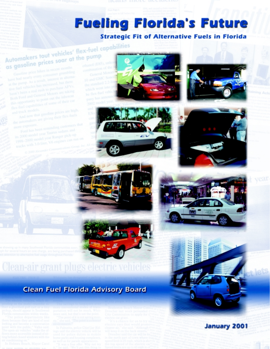# **Fueling Florida's Future Strategic Fit of Alternative Fuels in Florida**

# Automakers tout vehicles' flex-fuel capabilities as gasoline prices soar at the pump

have had nearly every consumer grumbling









# Clean-air grant plugs electric vel

# **Clean Fuel Florida Advisory Board**

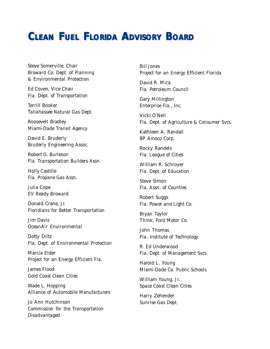# *CLEAN FUEL FLORIDA ADVISORY BOARD CLEAN FUEL FLORIDA ADVISORY BOARD*

Steve Somerville, Chair *Broward Co. Dept. of Planning & Environmental Protection*

Ed Coven, Vice Chair *Fla. Dept. of Transportation*

Terrill Booker *Tallahassee Natural Gas Dept.*

Roosevelt Bradley *Miami-Dade Transit Agency*

David E. Bruderly *Bruderly Engineering Assoc.*

Robert G. Burleson *Fla. Transportation Builders Assn.*

Holly Castille *Fla. Propane Gas Assn.*

Julia Cope *EV Ready Broward*

Donald Crane, Jr. *Floridians for Better Transportation*

Jim Davis *OceanAir Environmental*

Dotty Diltz *Fla. Dept. of Environmental Protection*

Marcia Elder *Project for an Energy Efficient Fla.*

James Flood *Gold Coast Clean Cities*

Wade L. Hopping *Alliance of Automobile Manufacturers*

Jo Ann Hutchinson *Commission for the Transportation Disadvantaged*

Bill Jones *Project for an Energy Efficient Florida*

David R. Mica *Fla. Petroleum Council*

Gary Millington *Enterprise Fla., Inc.*

Vicki O'Neil *Fla. Dept. of Agriculture & Consumer Svcs.*

Kathleen A. Randall *BP Amoco Corp.*

Rocky Randels *Fla. League of Cities*

William R. Schroyer *Fla. Dept. of Education*

Steve Simon *Fla. Assn. of Counties*

Robert Suggs *Fla. Power and Light Co.*

Bryan Taylor *Th!nk, Ford Motor Co.*

John Thomas *Fla. Institute of Technology*

R. Ed Underwood *Fla. Dept. of Management Svcs.*

Harold L. Young *Miami-Dade Co. Public Schools*

William Young, Jr. *Space Coast Clean Cities*

Harry Zehender *Sunrise Gas Dept.*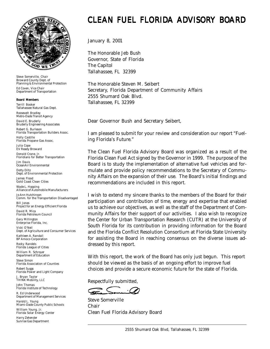

*Steve Somerville, Chair* Broward County Dept. of Planning & Environmental Protection *Ed Coven, Vice Chair* Department of Transportation

#### Board Members

*Terrill Booker* Tallahassee Natural Gas Dept. *Roosevelt Bradley* Metro-Dade Transit Agency *David E. Bruderly* Bruderly Engineering Associates *Robert G. Burleson* Florida Transportation Builders Assoc. *Holly Castille* Florida Propane Gas Assoc. *Julia Cope* EV Ready Broward *Donald Crane, Jr.* Floridians for Better Transportation *Jim Davis* OceanAir Environmental *Dotty Diltz* Dept. of Environmental Protection *James Flood* Gold Coast Clean Cities *Wade L. Hopping* Alliance of Automobile Manufacturers *Jo Ann Hutchinson* Comm. for the Transportation Disadvantaged *Bill Jones* Project for an Energy Efficient Florida *David R. Mica* Florida Petroleum Council *Gary Millington* Enterprise Florida, Inc. *Vicki O'Neil* Dept. of Agriculture and Consumer Services *Kathleen A. Randall* BP Amoco Corporation *Rocky Randels* Florida League of Cities *William R. Schroyer* Department of Education *Steve Simon* Florida Association of Counties *Robert Suggs* Florida Power and Light Company *J. Bryan Taylor* TH!NK Mobility, LLC *John Thomas* Florida Institute of Technology *R. Ed Underwood* Department of Management Services *Harold L. Young* Miami-Dade County Public Schools *William Young, Jr.* Florida Solar Energy Center *Harry Zehender* Sunrise Gas Department

# CLEAN FUEL FLORIDA ADVISORY BOARD

January 8, 2001

The Honorable Jeb Bush Governor, State of Florida The Capitol Tallahassee, FL 32399

The Honorable Steven M. Seibert Secretary, Florida Department of Community Affairs 2555 Shumard Oak Blvd. Tallahassee, FL 32399

Dear Governor Bush and Secretary Seibert,

I am pleased to submit for your review and consideration our report "Fueling Florida's Future."

The Clean Fuel Florida Advisory Board was organized as a result of the Florida Clean Fuel Act signed by the Governor in 1999. The purpose of the Board is to study the implementation of alternative fuel vehicles and formulate and provide policy recommendations to the Secretary of Community Affairs on the expansion of their use. The Board's initial findings and recommendations are included in this report.

I wish to extend my sincere thanks to the members of the Board for their participation and contribution of time, energy and expertise that enabled us to achieve our objectives, as well as the staff of the Department of Community Affairs for their support of our activities. I also wish to recognize the Center for Urban Transportation Research (CUTR) at the University of South Florida for its contribution in providing information for the Board and the Florida Conflict Resolution Consortium at Florida State University for assisting the Board in reaching consensus on the diverse issues addressed by this report.

With this report, the work of the Board has only just begun. This report should be viewed as the basis of an ongoing effort to improve fuel choices and provide a secure economic future for the state of Florida.

Respectfully submitted,

Steve Somerville Chair Clean Fuel Florida Advisory Board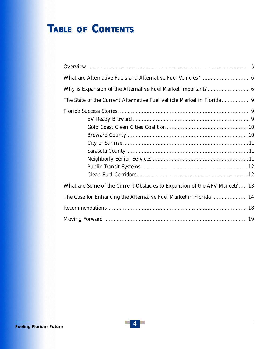# $T_{ABLE}$  *Of CONTENTS*

| What are Some of the Current Obstacles to Expansion of the AFV Market?  13 |
|----------------------------------------------------------------------------|
| The Case for Enhancing the Alternative Fuel Market in Florida  14          |
|                                                                            |
|                                                                            |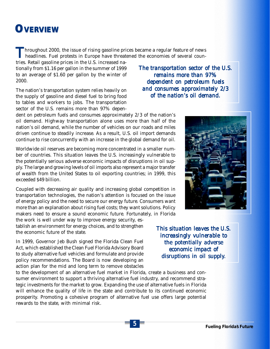# *OVER VERVIEW VIEW*

**Throughout 2000, the issue of rising gasoline prices became a regular feature of news headlines. Fuel protests in Europe have threatened the economies of several coun-**

tries. Retail gasoline prices in the U.S. increased nationally from \$1.16 per gallon in the summer of 1999 to an average of \$1.60 per gallon by the winter of 2000.

The nation's transportation system relies heavily on the supply of gasoline and diesel fuel to bring food to tables and workers to jobs. The transportation sector of the U.S. remains more than 97% depen-

dent on petroleum fuels and consumes approximately 2/3 of the nation's oil demand. Highway transportation alone uses more than half of the nation's oil demand, while the number of vehicles on our roads and miles driven continue to steadily increase. As a result, U.S. oil import demands continue to rise concurrently with an increase in the global demand for oil.

Worldwide oil reserves are becoming more concentrated in a smaller number of countries. This situation leaves the U.S. increasingly vulnerable to the potentially serious adverse economic impacts of disruptions in oil supply. The large and growing levels of oil imports also represent a major transfer of wealth from the United States to oil exporting countries; in 1999, this exceeded \$49 billion.

Coupled with decreasing air quality and increasing global competition in transportation technologies, the nation's attention is focused on the issue of energy policy and the need to secure our energy future. Consumers want more than an explanation about rising fuel costs; they want solutions. Policy makers need to ensure a sound economic future. Fortunately, in Florida

the work is well under way to improve energy security, establish an environment for energy choices, and to strengthen the economic future of the state.

In 1999, Governor Jeb Bush signed the Florida Clean Fuel Act, which established the Clean Fuel Florida Advisory Board to study alternative fuel vehicles and formulate and provide policy recommendations. The Board is now developing an action plan for the mid and long term to remove obstacles

to the development of an alternative fuel market in Florida, create a business and consumer environment to support a thriving alternative fuel industry, and recommend strategic investments for the market to grow. Expanding the use of alternative fuels in Florida will enhance the quality of life in the state and contribute to its continued economic prosperity. Promoting a cohesive program of alternative fuel use offers large potential rewards to the state, with minimal risk.

*The transportation sector of the U.S. of U.S. remains more than 97% dependent on petroleum fuels dependent and consumes approximately 2/3 of the nation's oil demand. of the* 



*This situation leaves the U.S. This situation leaves the U.S. increasingly vulnerable to the potentially adverse economic impact of economic impact of disruptions in oil supply.*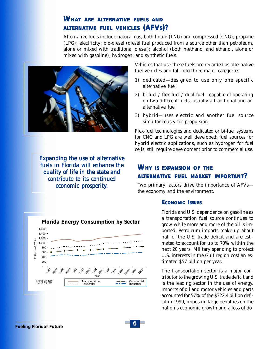### *WHAT ARE ALTERNATIVE FUELS AND ALTERNATIVE FUEL VEHICLES (AFVS)?*

Alternative fuels include natural gas, both liquid (LNG) and compressed (CNG); propane (LPG); electricity; bio-diesel (diesel fuel produced from a source other than petroleum, alone or mixed with traditional diesel); alcohol (both methanol and ethanol, alone or mixed with gasoline); hydrogen; and synthetic fuels.



*Expanding the use of alternative fuels in Florida will enhance the quality of life in the state and contribute to its continued economic pr economic prosperity.*

Vehicles that use these fuels are regarded as alternative fuel vehicles and fall into three major categories:

- 1) dedicated—designed to use only one specific alternative fuel
- 2) bi-fuel / flex-fuel / dual fuel—capable of operating on two different fuels, usually a traditional and an alternative fuel
- 3) hybrid—uses electric and another fuel source simultaneously for propulsion

Flex-fuel technologies and dedicated or bi-fuel systems for CNG and LPG are well developed; fuel sources for hybrid electric applications, such as hydrogen for fuel cells, still require development prior to commercial use.

### *WHY IS EXPANSION OF THE ALTERNATIVE FUEL MARKET IMPORTANT?*

Two primary factors drive the importance of AFVs the economy and the environment.

#### *ECONOMIC I SSUES*

Florida and U.S. dependence on gasoline as a transportation fuel source continues to grow while more and more of the oil is imported. Petroleum imports make up about half of the U.S. trade deficit and are estimated to account for up to 70% within the next 20 years. Military spending to protect U.S. interests in the Gulf region cost an estimated \$57 billion per year.

The transportation sector is a major contributor to the growing U.S. trade deficit and is the leading sector in the use of energy. Imports of oil and motor vehicles and parts accounted for 57% of the \$322.4 billion deficit in 1999, imposing large penalties on the nation's economic growth and a loss of do-



6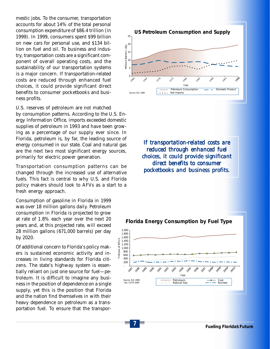mestic jobs. To the consumer, transportation accounts for about 14% of the total personal consumption expenditure of \$86.4 trillion (in 1999). In 1999, consumers spent \$99 billion on new cars for personal use, and \$134 billion on fuel and oil. To business and industry, transportation costs are a significant component of overall operating costs, and the sustainability of our transportation systems is a major concern. If transportation-related costs are reduced through enhanced fuel choices, it could provide significant direct benefits to consumer pocketbooks and business profits.

U.S. reserves of petroleum are not matched by consumption patterns. According to the U.S. Energy Information Office, imports exceeded domestic supplies of petroleum in 1993 and have been growing as a percentage of our supply ever since. In Florida, petroleum is, by far, the leading source of energy consumed in our state. Coal and natural gas are the next two most significant energy sources, primarily for electric power generation.

Transportation consumption patterns can be changed through the increased use of alternative fuels. This fact is central to why U.S. and Florida policy makers should look to AFVs as a start to a fresh energy approach.

Consumption of gasoline in Florida in 1999 was over 18 million gallons daily. Petroleum consumption in Florida is projected to grow at rate of 1.8% each year over the next 20 years and, at this projected rate, will exceed 28 million gallons (671,000 barrels) per day by 2020.

Of additional concern to Florida's policy makers is sustained economic activity and increases in living standards for Florida citizens. The state's highway system is essentially reliant on just one source for fuel—petroleum. It is difficult to imagine any business in the position of dependence on a single supply, yet this is the position that Florida and the nation find themselves in with their heavy dependence on petroleum as a transportation fuel. To ensure that the transpor-



*If transportation-related costs are reduced through enhanced fuel reduced through choices, it could provide significant it could significant direct benefits to consumer benefits to consumer pocketbooks and business profits.*

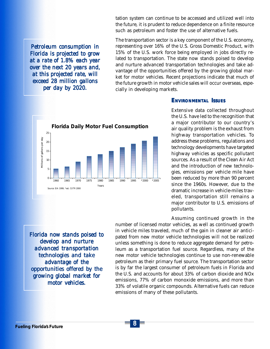tation system can continue to be accessed and utilized well into the future, it is prudent to reduce dependence on a finite resource such as petroleum and foster the use of alternative fuels.

*Petroleum consumption in Florida is projected to grow at a rate of 1.8% each year at a rate 1.8% each over the next 20 years and, over the next years and, at this projected rate, will at this rate, will exceed 28 million gallons exceed 28 gallons per day by 2020. per day 2020.*





#### *ENVIRONMENTAL I SSUES*

Extensive data collected throughout the U.S. have led to the recognition that a major contributor to our country's air quality problem is the exhaust from highway transportation vehicles. To address these problems, regulations and technology developments have targeted highway vehicles as specific pollutant sources. As a result of the Clean Air Act and the introduction of new technologies, emissions per vehicle mile have been reduced by more than 90 percent since the 1960s. However, due to the dramatic increase in vehicle-miles traveled, transportation still remains a major contributor to U.S. emissions of pollutants.

Assuming continued growth in the

*Florida now stands poised to develop and nurture advanced transportation technologies and take advantage of the opportunities offered by the growing global market for market for motor vehicles.*

number of licensed motor vehicles, as well as continued growth in vehicle miles traveled, much of the gain in cleaner air anticipated from new motor vehicle technologies will not be realized unless something is done to reduce aggregate demand for petroleum as a transportation fuel source. Regardless, many of the new motor vehicle technologies continue to use non-renewable petroleum as their primary fuel source. The transportation sector is by far the largest consumer of petroleum fuels in Florida and the U.S. and accounts for about 33% of carbon dioxide and NOx emissions, 77% of carbon monoxide emissions, and more than 33% of volatile organic compounds. Alternative fuels can reduce emissions of many of these pollutants.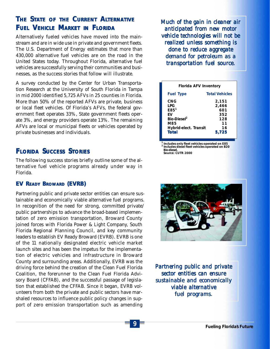# *THE S TATE OF THE CURRENT ALTERNATIVE FUEL VEHICLE MARKET IN FLORIDA*

Alternatively fueled vehicles have moved into the mainstream and are in wide use in private and government fleets. The U.S. Department of Energy estimates that more than 430,000 alternative fuel vehicles are on the road in the United States today. Throughout Florida, alternative fuel vehicles are successfully serving their communities and businesses, as the success stories that follow will illustrate.

A survey conducted by the Center for Urban Transportation Research at the University of South Florida in Tampa in mid 2000 identified 5,725 AFVs in 25 counties in Florida. More than 50% of the reported AFVs are private, business or local fleet vehicles. Of Florida's AFVs, the federal government fleet operates 33%, State government fleets operate 3%, and energy providers operate 13%. The remaining AFVs are local or municipal fleets or vehicles operated by private businesses and individuals.

## **FLORIDA SUCCESS STORIES**

The following success stories briefly outline some of the alternative fuel vehicle programs already under way in Florida.

#### *EV READY BROWARD (EVRB)*

Partnering public and private sector entities can ensure sustainable and economically viable alternative fuel programs. In recognition of the need for strong, committed private/ public partnerships to advance the broad-based implementation of zero emission transportation, Broward County joined forces with Florida Power & Light Company, South Florida Regional Planning Council, and key community leaders to establish EV Ready Broward (EVRB). EVRB is one of the 11 nationally designated electric vehicle market launch sites and has been the impetus for the implementation of electric vehicles and infrastructure in Broward County and surrounding areas. Additionally, EVRB was the driving force behind the creation of the Clean Fuel Florida Coalition, the forerunner to the Clean Fuel Florida Advisory Board (CFFAB), and the successful passage of legislation that established the CFFAB. Since it began, EVRB volunteers from both the private and public sectors have marshaled resources to influence public policy changes in support of zero emission transportation such as amending

*Much of the gain in cleaner air Much the gain in cleaner air anticipated from new motor anticipated from motor vehicle technologies will not be realized unless something is done to reduce aggregate demand for petroleum as a transportation fuel source. fuel source.*

| Florida AFV Inventory                                                                                                  |                                                          |
|------------------------------------------------------------------------------------------------------------------------|----------------------------------------------------------|
| <b>Fuel Type</b>                                                                                                       | <b>Total Vehicles</b>                                    |
| <b>CNG</b><br>LPG<br>E85 <sup>1</sup><br>FV<br>Bio-Diesel <sup>2</sup><br>M85<br>Hybrid-elect. Transit<br><b>Total</b> | 2,151<br>2,466<br>601<br>352<br>128<br>11<br>16<br>5,725 |

*1 Includes only fleet vehicles operated on E85 <sup>2</sup> Includes diesel fleet vehicles operated on B20 Bio-diesel. Source: CUTR 2000*



*Partnering public and private sector entities can ensure sustainable and economically viable alternative fuel programs. fuel programs.*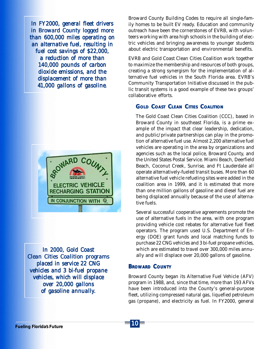*In FY2000, general fleet drivers In FY2000, general fleet in Broward County logged more than 600,000 miles operating on an alternative fuel, resulting in fuel cost savings of \$22,000, cost savings of a reduction of more than 140,000 pounds of carbon dioxide emissions, and the displacement of more than 41,000 gallons of gasoline.*



*In 2000, Gold Coast In 2000, Clean Cities Coalition programs Clean Cities Coalition programs placed in service 22 CNG vehicles and 3 bi-fuel propane vehicles, which will displace over 20,000 gallons over of gasoline annually.*

Broward County Building Codes to require all single-family homes to be built EV ready. Education and community outreach have been the cornerstones of EVRB, with volunteers working with area high schools in the building of electric vehicles and bringing awareness to younger students about electric transportation and environmental benefits.

EVRB and Gold Coast Clean Cities Coalition work together to maximize the membership and resources of both groups, creating a strong synergism for the implementation of alternative fuel vehicles in the South Florida area. EVRB's Community Transportation Initiative discussed in the public transit systems is a good example of these two groups' collaborative efforts.

### *GOLD COAST CLEAN CITIES COALITION*

The Gold Coast Clean Cities Coalition (CCC), based in Broward County in southeast Florida, is a prime example of the impact that clear leadership, dedication, and public/private partnerships can play in the promotion of alternative fuel use. Almost 2,200 alternative fuel vehicles are operating in the area by organizations and agencies such as the local police, Broward County, and the United States Postal Service. Miami Beach, Deerfield Beach, Coconut Creek, Sunrise, and Ft Lauderdale all operate alternatively-fueled transit buses. More than 60 alternative fuel vehicle refueling sites were added in the coalition area in 1999, and it is estimated that more than one million gallons of gasoline and diesel fuel are being displaced annually because of the use of alternative fuels.

Several successful cooperative agreements promote the use of alternative fuels in the area, with one program providing vehicle cost rebates for alternative fuel fleet operators. The program used U.S. Department of Energy (DOE) grant funds and local matching funds to purchase 22 CNG vehicles and 3 bi-fuel propane vehicles, which are estimated to travel over 300,000 miles annually and will displace over 20,000 gallons of gasoline.

#### *BROWARD COUNTY*

Broward County began its Alternative Fuel Vehicle (AFV) program in 1988, and, since that time, more than 193 AFVs have been introduced into the County's general-purpose fleet, utilizing compressed natural gas, liquefied petroleum gas (propane), and electricity as fuel. In FY2000, general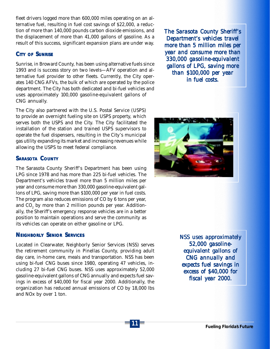fleet drivers logged more than 600,000 miles operating on an alternative fuel, resulting in fuel cost savings of \$22,000, a reduction of more than 140,000 pounds carbon dioxide emissions, and the displacement of more than 41,000 gallons of gasoline. As a result of this success, significant expansion plans are under way.

#### *CITY OF SUNRISE*

Sunrise, in Broward County, has been using alternative fuels since 1993 and is success story on two levels—AFV operation and alternative fuel provider to other fleets. Currently, the City operates 140 CNG AFVs, the bulk of which are operated by the police department. The City has both dedicated and bi-fuel vehicles and uses approximately 100,000 gasoline-equivalent gallons of CNG annually.

The City also partnered with the U.S. Postal Service (USPS) to provide an overnight fueling site on USPS property, which serves both the USPS and the City. The City facilitated the installation of the station and trained USPS supervisors to operate the fuel dispensers, resulting in the City's municipal gas utility expanding its market and increasing revenues while allowing the USPS to meet federal compliance.

#### *SARASOTA COUNTY*

The Sarasota County Sheriff's Department has been using LPG since 1978 and has more than 225 bi-fuel vehicles. The Department's vehicles travel more than 5 million miles per year and consume more than 330,000 gasoline-equivalent gallons of LPG, saving more than \$100,000 per year in fuel costs. The program also reduces emissions of CO by 6 tons per year, and  $\mathrm{CO}_2$  by more than 2 million pounds per year. Additionally, the Sheriff's emergency response vehicles are in a better position to maintain operations and serve the community as its vehicles can operate on either gasoline or LPG.

#### *NEIGHBORLY SENIOR SERVICES*

Located in Clearwater, Neighborly Senior Services (NSS) serves the retirement community in Pinellas County, providing adult day care, in-home care, meals and transportation. NSS has been using bi-fuel CNG buses since 1980, operating 47 vehicles, including 27 bi-fuel CNG buses. NSS uses approximately 52,000 gasoline-equivalent gallons of CNG annually and expects fuel savings in excess of \$40,000 for fiscal year 2000. Additionally, the organization has reduced annual emissions of CO by 18,000 lbs and NOx by over 1 ton.

*The Sarasota County Sheriff's Sarasota County Department's vehicles travel Department's vehicles more than 5 million miles per more than 5 million per year and consume more than 330,000 gasoline-equivalent gasoline-equivalent gallons of LPG, saving more than \$100,000 per year 00,000 per year in fuel costs. in fuel* 



*NSS uses approximately 52,000 gasoline- 52,000 gasolineequivalent gallons of equivalent gallons CNG annually and expects fuel savings in excess of \$40,000 for excess of \$40,000 fiscal year 2000. year*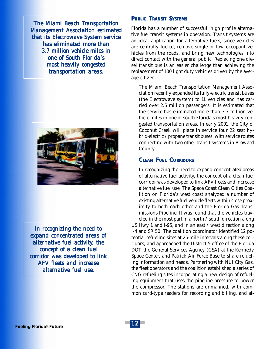*The Miami Beach Transportation Management Association estimated that its Electrowave System service has eliminated more than 3.7 million vehicle miles in one of South Florida's one of South most heavily congested transportation areas. transportation* 



*In recognizing the need to expand concentrated areas of expand areas of alternative fuel activity, the concept of a clean fuel concept of fuel corridor was developed to link AFV fleets and increase alternative fuel use.*

#### *PUBLIC TRANSIT SYSTEMS*

Florida has a number of successful, high profile alternative fuel transit systems in operation. Transit systems are an ideal application for alternative fuels, since vehicles are centrally fueled, remove single or low occupant vehicles from the roads, and bring new technologies into direct contact with the general public. Replacing one diesel transit bus is an easier challenge than achieving the replacement of 100 light duty vehicles driven by the average citizen.

The Miami Beach Transportation Management Association recently expanded its fully-electric transit buses (the Electrowave system) to 11 vehicles and has carried over 2.5 million passengers. It is estimated that the service has eliminated more than 3.7 million vehicle miles in one of south Florida's most heavily congested transportation areas. In early 2001, the City of Coconut Creek will place in service four 22 seat hybrid-electric / propane transit buses, with service routes connecting with two other transit systems in Broward County.

#### *CLEAN FUEL CORRIDORS*

In recognizing the need to expand concentrated areas of alternative fuel activity, the concept of a clean fuel corridor was developed to link AFV fleets and increase alternative fuel use. The Space Coast Clean Cities Coalition on Florida's west coast analyzed a number of existing alternative fuel vehicle fleets within close proximity to both each other and the Florida Gas Transmissions Pipeline. It was found that the vehicles trav-

eled in the most part in a north / south direction along US Hwy 1 and I-95, and in an east / west direction along I-4 and SR 50. The coalition coordinator identified 12 potential refueling sites at 25-mile intervals along these corridors, and approached the District 5 office of the Florida DOT, the General Services Agency (GSA) at the Kennedy Space Center, and Patrick Air Force Base to share refueling information and needs. Partnering with NUI City Gas, the fleet operators and the coalition established a series of CNG refueling sites incorporating a new design of refueling equipment that uses the pipeline pressure to power the compressor. The stations are unmanned, with common card-type readers for recording and billing, and al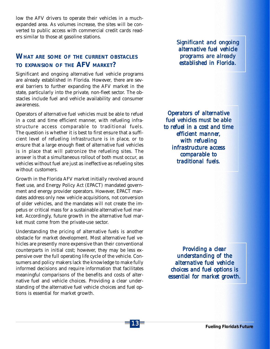low the AFV drivers to operate their vehicles in a muchexpanded area. As volumes increase, the sites will be converted to public access with commercial credit cards readers similar to those at gasoline stations.

### *WHAT ARE SOME OF THE CURRENT OBSTACLES TO EXPANSION OF THE AFV MARKET?*

Significant and ongoing alternative fuel vehicle programs are already established in Florida. However, there are several barriers to further expanding the AFV market in the state, particularly into the private, non-fleet sector. The obstacles include fuel and vehicle availability and consumer awareness.

Operators of alternative fuel vehicles must be able to refuel in a cost and time efficient manner, with refueling infrastructure access comparable to traditional fuels. The question is whether it is best to first ensure that a sufficient level of refueling infrastructure is in place, or to ensure that a large enough fleet of alternative fuel vehicles is in place that will patronize the refueling sites. The answer is that a simultaneous rollout of both must occur, as vehicles without fuel are just as ineffective as refueling sites without customers.

Growth in the Florida AFV market initially revolved around fleet use, and Energy Policy Act (EPACT) mandated government and energy provider operators. However, EPACT mandates address only new vehicle acquisitions, not conversion of older vehicles, and the mandates will not create the impetus or critical mass for a sustainable alternative fuel market. Accordingly, future growth in the alternative fuel market must come from the private-use sector.

Understanding the pricing of alternative fuels is another obstacle for market development. Most alternative fuel vehicles are presently more expensive than their conventional counterparts in initial cost; however, they may be less expensive over the full operating life cycle of the vehicle. Consumers and policy makers lack the knowledge to make fully informed decisions and require information that facilitates meaningful comparisons of the benefits and costs of alternative fuel and vehicle choices. Providing a clear understanding of the alternative fuel vehicle choices and fuel options is essential for market growth.

13

*Significant and ongoing alternative fuel vehicle programs are already*  $ext{ablished in Florida.}$ 

*Operators of alternative fuel vehicles must be able to refuel in a cost and time efficient manner efficient manner, with refueling infrastructure access comparable to traditional fuels. traditional fuels.*

*Providing a clear Providing understanding of the alternative fuel vehicle choices and fuel options is essential for market growth. essential for*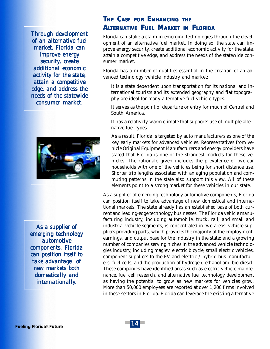*Through development of an alternative fuel of an fuel market, Florida can improve energy security, create additional economic additional economic activity for the state, activity for attain a competitive edge, and address the needs of the statewide consumer market. market.*



*As a supplier of As a supplier of emerging technology automotive components, Florida can position itself to take advantage of take of new markets both domestically and internationally.*

### *THE CASE FOR ENHANCING THE ALTERNATIVE FUEL MARKET IN FLORIDA*

Florida can stake a claim in emerging technologies through the development of an alternative fuel market. In doing so, the state can improve energy security, create additional economic activity for the state, attain a competitive edge, and address the needs of the statewide consumer market.

Florida has a number of qualities essential in the creation of an advanced technology vehicle industry and market:

It is a state dependent upon transportation for its national and international tourists and its extended geography and flat topography are ideal for many alternative fuel vehicle types.

It serves as the point of departure or entry for much of Central and South America.

It has a relatively warm climate that supports use of multiple alternative fuel types.

As a result, Florida is targeted by auto manufacturers as one of the key early markets for advanced vehicles. Representatives from vehicle Original Equipment Manufacturers and energy providers have stated that Florida is one of the strongest markets for these vehicles. The rationale given includes the prevalence of two-car households with one of the vehicles being for short distance use. Shorter trip lengths associated with an aging population and commuting patterns in the state also support this view. All of these elements point to a strong market for these vehicles in our state.

As a supplier of emerging technology automotive components, Florida can position itself to take advantage of new domestical and international markets. The state already has an established base of both current and leading-edge technology businesses. The Florida vehicle manufacturing industry, including automobile, truck, rail, and small and industrial vehicle segments, is concentrated in two areas: vehicle suppliers providing parts, which provides the majority of the employment, earnings, and output base for the industry in the state; and a growing number of companies serving niches in the advanced vehicle technologies industry, including maglev, electric bicycle, small electric vehicles, component suppliers to the EV and electric / hybrid bus manufacturers, fuel cells, and the production of hydrogen, ethanol and bio-diesel. These companies have identified areas such as electric vehicle maintenance, fuel cell research, and alternative fuel technology development as having the potential to grow as new markets for vehicles grow. More than 50,000 employees are reported at over 1,200 firms involved in these sectors in Florida. Florida can leverage the existing alternative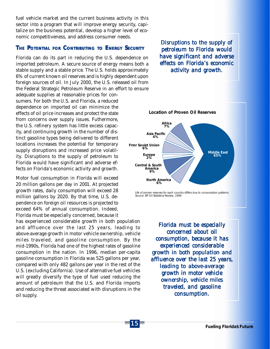fuel vehicle market and the current business activity in this sector into a program that will improve energy security, capitalize on the business potential, develop a higher level of economic competitiveness, and address consumer needs.

#### *THE POTENTIAL FOR CONTRIBUTING TO ENERGY SECURITY*

Florida can do its part in reducing the U.S. dependence on imported petroleum. A secure source of energy means both a stable supply and a stable price. The U.S. holds approximately 6% of current known oil reserves and is highly dependent upon foreign sources of oil. In July 2000, the U.S. released oil from the Federal Strategic Petroleum Reserve in an effort to ensure adequate supplies at reasonable prices for consumers. For both the U.S. and Florida, a reduced dependence on imported oil can minimize the effects of oil price increases and protect the state from concerns over supply issues. Futhermore, the U.S. refinery system has little excess capacity, and continuing growth in the number of distinct gasoline types being delivered to different locations increases the potential for temporary supply disruptions and increased price volatility. Disruptions to the supply of petroleum to Florida would have significant and adverse effects on Florida's economic activity and growth.

Motor fuel consumption in Florida will exceed 20 million gallons per day in 2001. At projected growth rates, daily consumption will exceed 28 million gallons by 2020. By that time, U.S. dependence on foreign oil resources is projected to exceed 64% of annual consumption. Indeed, Florida must be especially concerned, because it

has experienced considerable growth in both population and affluence over the last 25 years, leading to above-average growth in motor vehicle ownership, vehicle miles traveled, and gasoline consumption. By the mid-1990s, Florida had one of the highest rates of gasoline consumption in the nation. In 1996, median per-capita gasoline consumption in Florida was 525 gallons per year, compared with only 482 gallons per year in the rest of the U.S. (excluding California). Use of alternative fuel vehicles will greatly diversify the type of fuel used reducing the amount of petroleum that the U.S. and Florida imports and reducing the threat associated with disruptions in the oil supply.

*Disruptions to the supply of Disruptions to the petroleum to Florida would have significant and adverse*  $effects$  on Florida's economic *activity and growth. and* 



*Life of proven reserves for each country differs due to consumption patterns. Source: BP Oil Statistical Review, 1999*

*Florida must be especially concerned about oil concerned about oil consumption, because it has consumption, because has experienced considerable growth in both population and affluence over the last 25 years, affluence last 25 years, leading to above-average growth in motor vehicle*  $ownership, vehicle miles$ *traveled, and gasoline consumption. consumption.*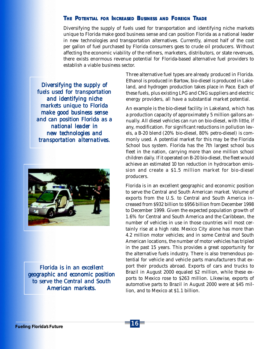#### *THE POTENTIAL FOR INCREASED BUSINESS AND FOREIGN TRADE*

Diversifying the supply of fuels used for transportation and identifying niche markets unique to Florida make good business sense and can position Florida as a national leader in new technologies and transportation alternatives. Currently, almost half of the cost per gallon of fuel purchased by Florida consumers goes to crude oil producers. Without affecting the economic viability of the refiners, marketers, distributors, or state revenues, there exists enormous revenue potential for Florida-based alternative fuel providers to establish a viable business sector.

*Diversifying the supply of fuels used for transportation and identifying niche markets unique to Florida make good business sense and can position Florida as a national leader in new technologies and transportation alternatives. transportation alternatives.*



*Florida is in an excellent Florida is in an excellent geographic and economic position to serve the Central and South American markets.*

Three alternative fuel types are already produced in Florida. Ethanol is produced in Bartow, bio-diesel is produced in Lakeland, and hydrogen production takes place in Pace. Each of these fuels, plus existing LPG and CNG suppliers and electric energy providers, all have a substantial market potential.

An example is the bio-diesel facility in Lakeland, which has a production capacity of approximately 5 million gallons annually. All diesel vehicles can run on bio-diesel, with little, if any, modification. For significant reductions in pollution levels, a B-20 blend (20% bio-diesel, 80% petro-diesel) is commonly used. A potential market for this may be the Florida School bus system. Florida has the 7th largest school bus fleet in the nation, carrying more than one million school children daily. If it operated on B-20 bio-diesel, the fleet would achieve an estimated 10 ton reduction in hydrocarbon emission and create a \$1.5 million market for bio-diesel producers.

Florida is in an excellent geographic and economic position to serve the Central and South American market. Volume of exports from the U.S. to Central and South America increased from \$932 billion to \$956 billion from December 1998 to December 1999. Given the expected population growth of 1.6% for Central and South America and the Caribbean, the number of vehicles in use in those countries will most certainly rise at a high rate. Mexico City alone has more than 4.2 million motor vehicles; and in some Central and South American locations, the number of motor vehicles has tripled in the past 15 years. This provides a great opportunity for the alternative fuels industry. There is also tremendous potential for vehicle and vehicle parts manufacturers that export their products abroad. Exports of cars and trucks to Brazil in August 2000 equaled \$2 million, while these exports to Mexico rose to \$263 million. Likewise, exports of automotive parts to Brazil in August 2000 were at \$45 million, and to Mexico at \$1.1 billion.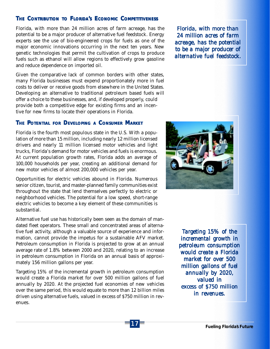**THE CONTRIBUTION TO FLORIDA'S ECONOMIC COMPETITIVENESS**<br>Florida, with more than 24 million acres of farm acreage, has potential to be a major producer of alternative fuel feedstock. Energy experts see the use of bio-engin Florida, with more than 24 million acres of farm acreage, has the potential to be a major producer of alternative fuel feedstock. Energy experts see the use of bio-engineered crops for fuels as one of the major economic innovations occurring in the next ten years. New genetic technologies that permit the cultivation of crops to produce fuels such as ethanol will allow regions to effectively grow gasoline and reduce dependence on imported oil.

Given the comparative lack of common borders with other states, many Florida businesses must expend proportionately more in fuel costs to deliver or receive goods from elsewhere in the United States. Developing an alternative to traditional petroleum based fuels will offer a choice to these businesses, and, if developed properly, could provide both a competitive edge for existing firms and an incentive for new firms to locate their operations in Florida.

#### *THE POTENTIAL FOR DEVELOPING A CONSUMER MARKET*

Florida is the fourth most populous state in the U.S. With a population of more than 15 million, including nearly 12 million licensed drivers and nearly 11 million licensed motor vehicles and light trucks, Florida's demand for motor vehicles and fuels is enormous. At current population growth rates, Florida adds an average of 100,000 households per year, creating an additional demand for new motor vehicles of almost 200,000 vehicles per year.

Opportunities for electric vehicles abound in Florida. Numerous senior citizen, tourist, and master-planned family communities exist throughout the state that lend themselves perfectly to electric or neighborhood vehicles. The potential for a low speed, short-range electric vehicles to become a key element of these communities is substantial.

Alternative fuel use has historically been seen as the domain of mandated fleet operators. These small and concentrated areas of alternative fuel activity, although a valuable source of experience and information, cannot provide the impetus for a sustainable AFV market. Petroleum consumption in Florida is projected to grow at an annual average rate of 1.8% between 2000 and 2020, relating to an increase in petroleum consumption in Florida on an annual basis of approximately 156 million gallons per year.

Targeting 15% of the incremental growth in petroleum consumption would create a Florida market for over 500 million gallons of fuel annually by 2020. At the projected fuel economies of new vehicles over the same period, this would equate to more than 12 billion miles driven using alternative fuels, valued in excess of \$750 million in revenues.

*Florida, with more than 24 million acres of farm acreage, has the potential acreage, the potential to be a major producer of to be a major producer of alternative fuel feedstock. fuel feedstock.*



*Targeting 15% of the incremental growth in petroleum consumption would create a Florida market for over 500 million gallons of fuel million fuel annually by 2020, 2020, valued in excess of \$750 million in revenues. in* 

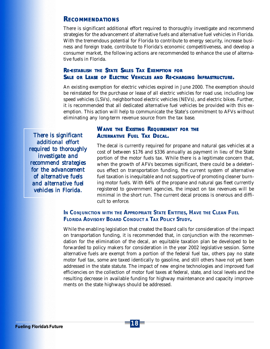#### *RECOMMENDATIONS*

There is significant additional effort required to thoroughly investigate and recommend strategies for the advancement of alternative fuels and alternative fuel vehicles in Florida. With the tremendous potential for Florida to contribute to energy security, increase business and foreign trade, contribute to Florida's economic competitiveness, and develop a consumer market, the following actions are recommended to enhance the use of alternative fuels in Florida.

#### *RE-ESTABLISH THE STATE SALES TAX EXEMPTION FOR SALE OR LEASE OF ELECTRIC VEHICLES AND RE-CHARGING INFRASTRUCTURE.*

An existing exemption for electric vehicles expired in June 2000. The exemption should be reinstated for the purchase or lease of all electric vehicles for road use, including low speed vehicles (LSVs), neighborhood electric vehicles (NEVs), and electric bikes. Further, it is recommended that all dedicated alternative fuel vehicles be provided with this exemption. This action will help to communicate the State's commitment to AFVs without eliminating any long-term revenue source from the tax base.

*There is significant is significant additional effort additional effort required to thoroughly investigate and recommend strategies recommend strategies for the advancement of alternative fuels of and alternative fuel alternative fuel vehicles in Florida. vehicles in* 

#### *WAIVE THE EXISTING REQUIREMENT FOR THE ALTERNATIVE FUEL TAX DECAL.*

The decal is currently required for propane and natural gas vehicles at a cost of between \$176 and \$336 annually as payment in lieu of the State portion of the motor fuels tax. While there is a legitimate concern that, when the growth of AFVs becomes significant, there could be a deleterious effect on transportation funding, the current system of alternative fuel taxation is inequitable and not supportive of promoting cleaner burning motor fuels. With 64% of the propane and natural gas fleet currently registered to government agencies, the impact on tax revenues will be minimal in the short run. The current decal process is onerous and difficult to enforce.

*IN CONJUNCTION WITH THE APPROPRIATE STATE ENTITIES, HAVE THE CLEAN FUEL FLORIDA ADVISORY BOARD CONDUCT A TAX POLICY STUDY.*

While the enabling legislation that created the Board calls for consideration of the impact on transportation funding, it is recommended that, in conjunction with the recommendation for the elimination of the decal, an equitable taxation plan be developed to be forwarded to policy makers for consideration in the year 2002 legislative session. Some alternative fuels are exempt from a portion of the federal fuel tax, others pay no state motor fuel tax, some are taxed identically to gasoline, and still others have not yet been addressed in the state statute. The impact of new engine technologies and improved fuel efficiencies on the collection of motor fuel taxes at federal, state, and local levels and the resulting decrease in available funding for highway maintenance and capacity improvements on the state highways should be addressed.

18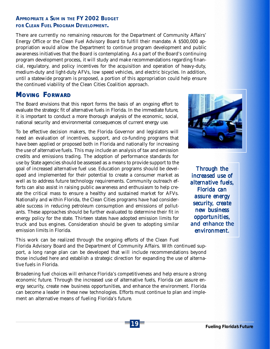### *APPROPRIATE A SUM IN THE FY 2002 BUDGET FOR CLEAN FUEL PROGRAM DEVELOPMENT.*

There are currently no remaining resources for the Department of Community Affairs' Energy Office or the Clean Fuel Advisory Board to fulfill their mandate. A \$500,000 appropriation would allow the Department to continue program development and public awareness initiatives that the Board is contemplating. As a part of the Board's continuing program development process, it will study and make recommendations regarding financial, regulatory, and policy incentives for the acquisition and operation of heavy-duty, medium-duty and light-duty AFVs, low speed vehicles, and electric bicycles. In addition, until a statewide program is proposed, a portion of this appropriation could help ensure the continued viability of the Clean Cities Coalition approach.

### *MOVING FORWARD*

The Board envisions that this report forms the basis of an ongoing effort to evaluate the strategic fit of alternative fuels in Florida. In the immediate future, it is important to conduct a more thorough analysis of the economic, social, national security and environmental consequences of current energy use.

To be effective decision makers, the Florida Governor and legislators will need an evaluation of incentives, support, and co-funding programs that have been applied or proposed both in Florida and nationally for increasing the use of alternative fuels. This may include an analysis of tax and emission credits and emissions trading. The adoption of performance standards for use by State agencies should be assessed as a means to provide support to the goal of increased alternative fuel use. Education programs should be developed and implemented for their potential to create a consumer market as well as to address future technology requirements. Community outreach efforts can also assist in raising public awareness and enthusiasm to help create the critical mass to ensure a healthy and sustained market for AFVs. Nationally and within Florida, the Clean Cities programs have had considerable success in reducing petroleum consumption and emissions of pollutants. These approaches should be further evaluated to determine their fit in energy policy for the state. Thirteen states have adopted emission limits for truck and bus engines. Consideration should be given to adopting similar emission limits in Florida.

This work can be realized through the ongoing efforts of the Clean Fuel Florida Advisory Board and the Department of Community Affairs. With continued support, a long range plan can be developed that will include recommendations beyond those included here and establish a strategic direction for expanding the use of alternative fuels in Florida.

Broadening fuel choices will enhance Florida's competitiveness and help ensure a strong economic future. Through the increased use of alternative fuels, Florida can assure energy security, create new business opportunities, and enhance the environment. Florida can become a leader in these new technologies. Efforts must continue to plan and implement an alternative means of fueling Florida's future.



*Through the increased use of increased use of alternative fuels, alternative fuels, Florida can assure energy security, create new business business opportunities, and enhance the environment. environment.*

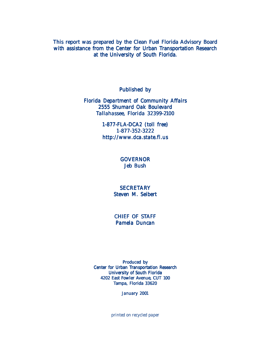This report was prepared by the Clean Fuel Florida Advisory Board with assistance from the Center for Urban Transportation Research at the University of South Florida.

Published by

*Florida Department of Community Affairs 2555 Shumard Oak Boulevard Tallahassee, Florida 32399-2100*

> *1-877-FLA-DCA2 (toll free) 1-877-352-3222 http://www.dca.state.fl.us*

> > **GOVERNOR** *Jeb Bush*

#### **SECRETARY** *Steven M. Seibert Seibert*

CHIEF OF STAFF *Pamela Duncan*

Produced by Center for Urban Transportation Research University of South Florida 4202 East Fowler Avenue, CUT 100 Tampa, Florida 33620

*January 2001*

*printed on recycled paper*